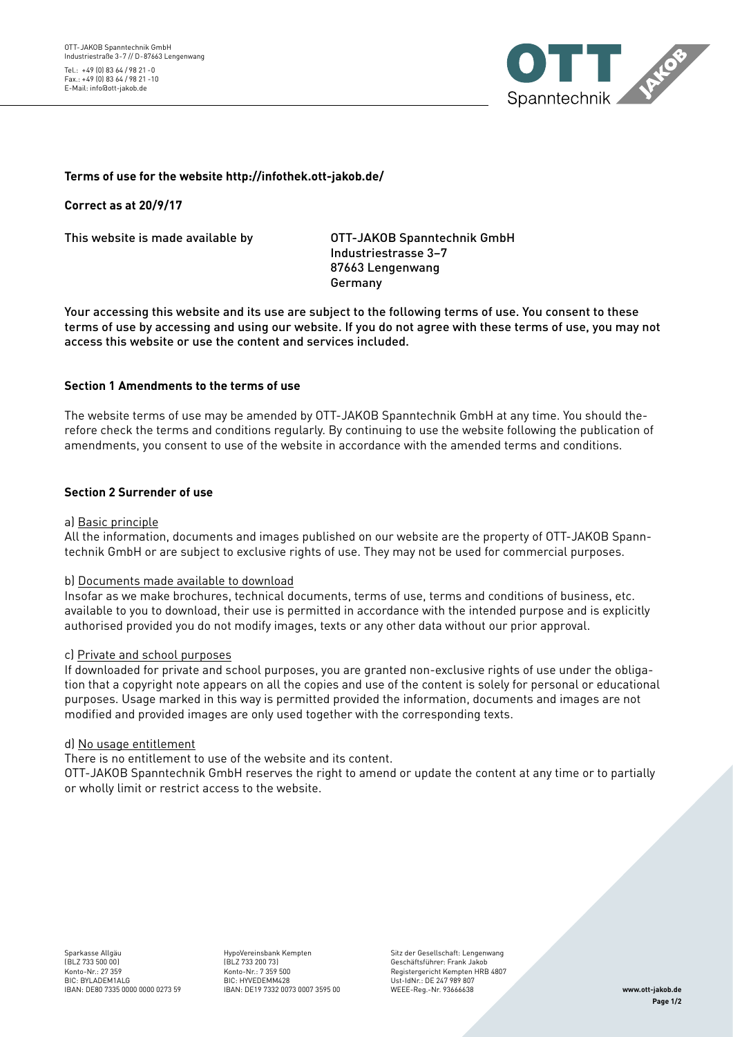

# **Terms of use for the website http://infothek.ott-jakob.de/**

**Correct as at 20/9/17**

This website is made available by OTT-JAKOB Spanntechnik GmbH

 Industriestrasse 3–7 87663 Lengenwang Germany

Your accessing this website and its use are subject to the following terms of use. You consent to these terms of use by accessing and using our website. If you do not agree with these terms of use, you may not access this website or use the content and services included.

## **Section 1 Amendments to the terms of use**

The website terms of use may be amended by OTT-JAKOB Spanntechnik GmbH at any time. You should therefore check the terms and conditions regularly. By continuing to use the website following the publication of amendments, you consent to use of the website in accordance with the amended terms and conditions.

## **Section 2 Surrender of use**

#### a) Basic principle

All the information, documents and images published on our website are the property of OTT-JAKOB Spanntechnik GmbH or are subject to exclusive rights of use. They may not be used for commercial purposes.

### b) Documents made available to download

Insofar as we make brochures, technical documents, terms of use, terms and conditions of business, etc. available to you to download, their use is permitted in accordance with the intended purpose and is explicitly authorised provided you do not modify images, texts or any other data without our prior approval.

#### c) Private and school purposes

If downloaded for private and school purposes, you are granted non-exclusive rights of use under the obligation that a copyright note appears on all the copies and use of the content is solely for personal or educational purposes. Usage marked in this way is permitted provided the information, documents and images are not modified and provided images are only used together with the corresponding texts.

#### d) No usage entitlement

There is no entitlement to use of the website and its content.

OTT-JAKOB Spanntechnik GmbH reserves the right to amend or update the content at any time or to partially or wholly limit or restrict access to the website.

HypoVereinsbank Kempten (BLZ 733 200 73) Konto-Nr.: 7 359 500 BIC: HYVEDEMM428

Sitz der Gesellschaft: Lengenwang Geschäftsführer: Frank Jakob Registergericht Kempten HRB 4807 Ust-IdNr.: DE 247 989 807 WEEE-Reg.-Nr. 93666638 IBAN: DE19 7332 0073 0007 3595 00 **www.ott-jakob.de**